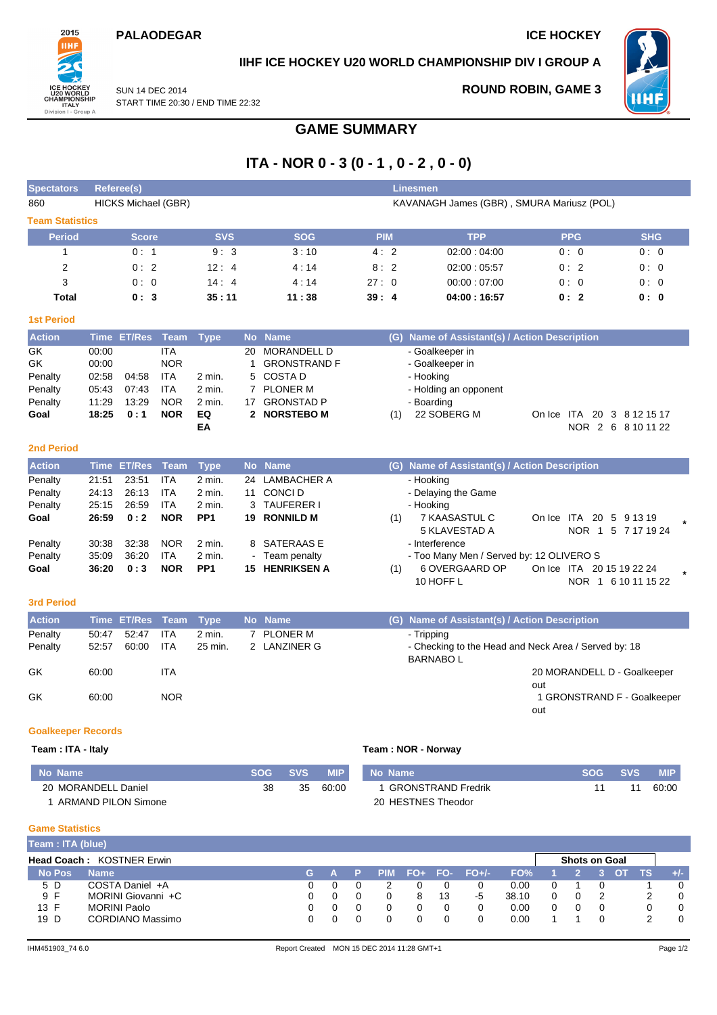### **PALAODEGAR ICE HOCKEY**



# **IIHF ICE HOCKEY U20 WORLD CHAMPIONSHIP DIV I GROUP A**

SUN 14 DEC 2014 START TIME 20:30 / END TIME 22:32 **ROUND ROBIN, GAME 3**



# **GAME SUMMARY**

# **ITA - NOR 0 - 3 (0 - 1 , 0 - 2 , 0 - 0)**

| <b>Spectators</b>         |             | Referee(s)          |             |                 |           |                       |            |                                           | <b>Linesmen</b>                                                         |                                    |                             |  |  |  |  |
|---------------------------|-------------|---------------------|-------------|-----------------|-----------|-----------------------|------------|-------------------------------------------|-------------------------------------------------------------------------|------------------------------------|-----------------------------|--|--|--|--|
| 860                       |             | HICKS Michael (GBR) |             |                 |           |                       |            | KAVANAGH James (GBR), SMURA Mariusz (POL) |                                                                         |                                    |                             |  |  |  |  |
| <b>Team Statistics</b>    |             |                     |             |                 |           |                       |            |                                           |                                                                         |                                    |                             |  |  |  |  |
| <b>Period</b>             |             | <b>Score</b>        |             | <b>SVS</b>      |           | <b>SOG</b>            | <b>PIM</b> |                                           | <b>TPP</b>                                                              | <b>PPG</b>                         | <b>SHG</b>                  |  |  |  |  |
| 1                         |             | 0:1                 |             | 9:3             |           | 3:10                  | 4:2        |                                           | 02:00:04:00                                                             | 0:0                                | 0:0                         |  |  |  |  |
| $\overline{2}$            |             | 0:2                 |             | 12:4            |           | 4:14                  | 8:2        |                                           | 02:00:05:57                                                             | 0:2                                | 0:0                         |  |  |  |  |
| 3                         |             | 0:0                 |             | 14:4            |           | 4:14                  | 27:0       |                                           | 00:00:07:00                                                             | 0:0                                | 0:0                         |  |  |  |  |
| <b>Total</b>              |             | 0:3                 |             | 35:11           |           | 11:38                 | 39:4       |                                           | 04:00:16:57                                                             | 0:2                                | 0:0                         |  |  |  |  |
| <b>1st Period</b>         |             |                     |             |                 |           |                       |            |                                           |                                                                         |                                    |                             |  |  |  |  |
| <b>Action</b>             | <b>Time</b> | <b>ET/Res</b>       | <b>Team</b> | <b>Type</b>     | <b>No</b> | <b>Name</b>           |            |                                           | (G) Name of Assistant(s) / Action Description                           |                                    |                             |  |  |  |  |
| GK                        | 00:00       |                     | <b>ITA</b>  |                 | 20        | <b>MORANDELL D</b>    |            |                                           | - Goalkeeper in                                                         |                                    |                             |  |  |  |  |
| GK                        | 00:00       |                     | <b>NOR</b>  |                 | 1         | <b>GRONSTRAND F</b>   |            |                                           | - Goalkeeper in                                                         |                                    |                             |  |  |  |  |
| Penalty                   | 02:58       | 04:58               | <b>ITA</b>  | $2$ min.        | 5         | <b>COSTAD</b>         |            |                                           | - Hooking                                                               |                                    |                             |  |  |  |  |
| Penalty                   | 05:43       | 07:43               | <b>ITA</b>  | 2 min.          |           | 7 PLONER M            |            |                                           | - Holding an opponent                                                   |                                    |                             |  |  |  |  |
| Penalty                   | 11:29       | 13:29               | <b>NOR</b>  | $2$ min.        |           | 17 GRONSTAD P         |            |                                           | - Boarding                                                              |                                    |                             |  |  |  |  |
| Goal                      | 18:25       | 0:1                 | <b>NOR</b>  | EQ              |           | 2 NORSTEBO M          |            | (1)                                       | 22 SOBERG M                                                             | On Ice ITA 20 3 8 12 15 17         |                             |  |  |  |  |
|                           |             |                     |             | EA              |           |                       |            |                                           |                                                                         |                                    | NOR 2 6 8 10 11 22          |  |  |  |  |
| <b>2nd Period</b>         |             |                     |             |                 |           |                       |            |                                           |                                                                         |                                    |                             |  |  |  |  |
| <b>Action</b>             |             | <b>Time ET/Res</b>  | <b>Team</b> | <b>Type</b>     | <b>No</b> | <b>Name</b>           |            |                                           | (G) Name of Assistant(s) / Action Description                           |                                    |                             |  |  |  |  |
| Penalty                   | 21:51       | 23:51               | <b>ITA</b>  | 2 min.          | 24        | <b>LAMBACHER A</b>    |            |                                           | - Hooking                                                               |                                    |                             |  |  |  |  |
| Penalty                   | 24:13       | 26:13               | <b>ITA</b>  | 2 min.          | 11        | CONCI D               |            |                                           | - Delaying the Game                                                     |                                    |                             |  |  |  |  |
| Penalty                   | 25:15       | 26.59               | <b>ITA</b>  | $2$ min.        | 3         | <b>TAUFERER I</b>     |            |                                           | - Hooking                                                               |                                    |                             |  |  |  |  |
| Goal                      | 26:59       | 0:2                 | <b>NOR</b>  | PP <sub>1</sub> |           | 19 RONNILD M          |            | (1)                                       | 7 KAASASTUL C<br><b>5 KLAVESTAD A</b>                                   | On Ice ITA 20 5 9 13 19            | NOR 1 5 7 17 19 24          |  |  |  |  |
| Penalty                   | 30:38       | 32:38               | <b>NOR</b>  | 2 min.          | 8         | SATERAAS E            |            |                                           | - Interference                                                          |                                    |                             |  |  |  |  |
| Penalty                   | 35:09       | 36:20               | <b>ITA</b>  | 2 min.          |           | Team penalty          |            |                                           | - Too Many Men / Served by: 12 OLIVERO S                                |                                    |                             |  |  |  |  |
| Goal                      | 36:20       | 0:3                 | <b>NOR</b>  | PP <sub>1</sub> |           | <b>15 HENRIKSEN A</b> |            | (1)                                       | 6 OVERGAARD OP                                                          | On Ice ITA 20 15 19 22 24          |                             |  |  |  |  |
|                           |             |                     |             |                 |           |                       |            |                                           | 10 HOFF L                                                               |                                    | NOR 1 6 10 11 15 22         |  |  |  |  |
| <b>3rd Period</b>         |             |                     |             |                 |           |                       |            |                                           |                                                                         |                                    |                             |  |  |  |  |
| <b>Action</b>             |             | Time ET/Res         | <b>Team</b> | <b>Type</b>     | <b>No</b> | <b>Name</b>           |            |                                           | (G) Name of Assistant(s) / Action Description                           |                                    |                             |  |  |  |  |
| Penalty                   | 50:47       | 52:47               | <b>ITA</b>  | $2$ min.        | 7         | <b>PLONER M</b>       |            |                                           | - Tripping                                                              |                                    |                             |  |  |  |  |
| Penalty                   | 52:57       | 60:00               | ITA         | 25 min.         |           | 2 LANZINER G          |            |                                           | - Checking to the Head and Neck Area / Served by: 18<br><b>BARNABOL</b> |                                    |                             |  |  |  |  |
| GK                        | 60:00       |                     | <b>ITA</b>  |                 |           |                       |            |                                           |                                                                         | 20 MORANDELL D - Goalkeeper<br>out |                             |  |  |  |  |
| GK                        | 60:00       |                     | <b>NOR</b>  |                 |           |                       |            |                                           |                                                                         | out                                | 1 GRONSTRAND F - Goalkeeper |  |  |  |  |
| <b>Goalkeeper Records</b> |             |                     |             |                 |           |                       |            |                                           |                                                                         |                                    |                             |  |  |  |  |

#### **Team : ITA - Italy Team : NOR - Norway**

| No Name             | SOG | SVS | <b>MIP</b> | . No Name                 | <b>SOG</b> | <b>SVS.</b> | <b>MIP</b> |
|---------------------|-----|-----|------------|---------------------------|------------|-------------|------------|
| 20 MORANDELL Daniel | 38  | 35  | 60:00      | <b>GRONSTRAND Fredrik</b> |            |             | 60:00      |
| ARMAND PILON Simone |     |     |            | 20 HESTNES Theodor        |            |             |            |

# **Game Statistics**

| Team: ITA (blue) |                                  |    |  |  |    |                     |       |                      |  |     |       |
|------------------|----------------------------------|----|--|--|----|---------------------|-------|----------------------|--|-----|-------|
|                  | <b>Head Coach: KOSTNER Erwin</b> |    |  |  |    |                     |       | <b>Shots on Goal</b> |  |     |       |
| <b>No Pos</b>    | <b>Name</b>                      | G. |  |  |    | $PIM$ FO+ FO- FO+/- | FO%   |                      |  | TS. | $+/-$ |
| 5 D              | COSTA Daniel +A                  |    |  |  |    |                     | 0.00  |                      |  |     |       |
| 9 F              | MORINI Giovanni +C               |    |  |  | 13 | -5                  | 38.10 |                      |  |     |       |
| 13 F             | <b>MORINI Paolo</b>              |    |  |  |    |                     | 0.00  |                      |  |     |       |
| 19 D             | CORDIANO Massimo                 |    |  |  |    |                     | 0.00  |                      |  |     |       |